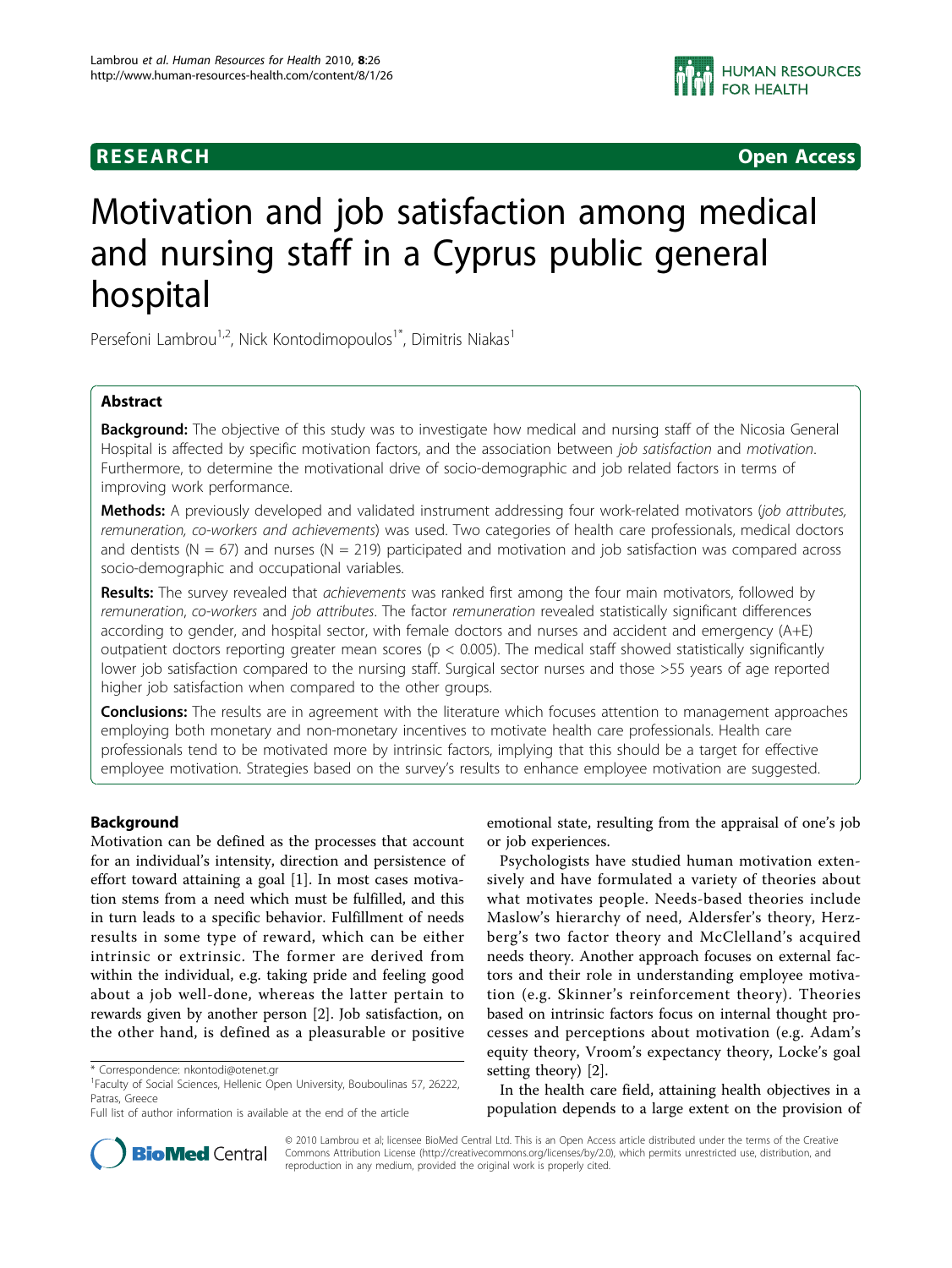**RESEARCH CONSTRUCTED ACCESS** 

# Motivation and job satisfaction among medical and nursing staff in a Cyprus public general hospital

Persefoni Lambrou<sup>1,2</sup>, Nick Kontodimopoulos<sup>1\*</sup>, Dimitris Niakas<sup>1</sup>

# Abstract

Background: The objective of this study was to investigate how medical and nursing staff of the Nicosia General Hospital is affected by specific motivation factors, and the association between job satisfaction and motivation. Furthermore, to determine the motivational drive of socio-demographic and job related factors in terms of improving work performance.

Methods: A previously developed and validated instrument addressing four work-related motivators (job attributes, remuneration, co-workers and achievements) was used. Two categories of health care professionals, medical doctors and dentists (N = 67) and nurses (N = 219) participated and motivation and job satisfaction was compared across socio-demographic and occupational variables.

Results: The survey revealed that *achievements* was ranked first among the four main motivators, followed by remuneration, co-workers and job attributes. The factor remuneration revealed statistically significant differences according to gender, and hospital sector, with female doctors and nurses and accident and emergency (A+E) outpatient doctors reporting greater mean scores ( $p < 0.005$ ). The medical staff showed statistically significantly lower job satisfaction compared to the nursing staff. Surgical sector nurses and those >55 years of age reported higher job satisfaction when compared to the other groups.

**Conclusions:** The results are in agreement with the literature which focuses attention to management approaches employing both monetary and non-monetary incentives to motivate health care professionals. Health care professionals tend to be motivated more by intrinsic factors, implying that this should be a target for effective employee motivation. Strategies based on the survey's results to enhance employee motivation are suggested.

# Background

Motivation can be defined as the processes that account for an individual's intensity, direction and persistence of effort toward attaining a goal [\[1\]](#page-7-0). In most cases motivation stems from a need which must be fulfilled, and this in turn leads to a specific behavior. Fulfillment of needs results in some type of reward, which can be either intrinsic or extrinsic. The former are derived from within the individual, e.g. taking pride and feeling good about a job well-done, whereas the latter pertain to rewards given by another person [[2\]](#page-7-0). Job satisfaction, on the other hand, is defined as a pleasurable or positive

emotional state, resulting from the appraisal of one's job or job experiences.

Psychologists have studied human motivation extensively and have formulated a variety of theories about what motivates people. Needs-based theories include Maslow's hierarchy of need, Aldersfer's theory, Herzberg's two factor theory and McClelland's acquired needs theory. Another approach focuses on external factors and their role in understanding employee motivation (e.g. Skinner's reinforcement theory). Theories based on intrinsic factors focus on internal thought processes and perceptions about motivation (e.g. Adam's equity theory, Vroom's expectancy theory, Locke's goal setting theory) [\[2](#page-7-0)].

In the health care field, attaining health objectives in a population depends to a large extent on the provision of



© 2010 Lambrou et al; licensee BioMed Central Ltd. This is an Open Access article distributed under the terms of the Creative Commons Attribution License [\(http://creativecommons.org/licenses/by/2.0](http://creativecommons.org/licenses/by/2.0)), which permits unrestricted use, distribution, and reproduction in any medium, provided the original work is properly cited.

<sup>\*</sup> Correspondence: [nkontodi@otenet.gr](mailto:nkontodi@otenet.gr)

<sup>&</sup>lt;sup>1</sup> Faculty of Social Sciences, Hellenic Open University, Bouboulinas 57, 26222, Patras, Greece

Full list of author information is available at the end of the article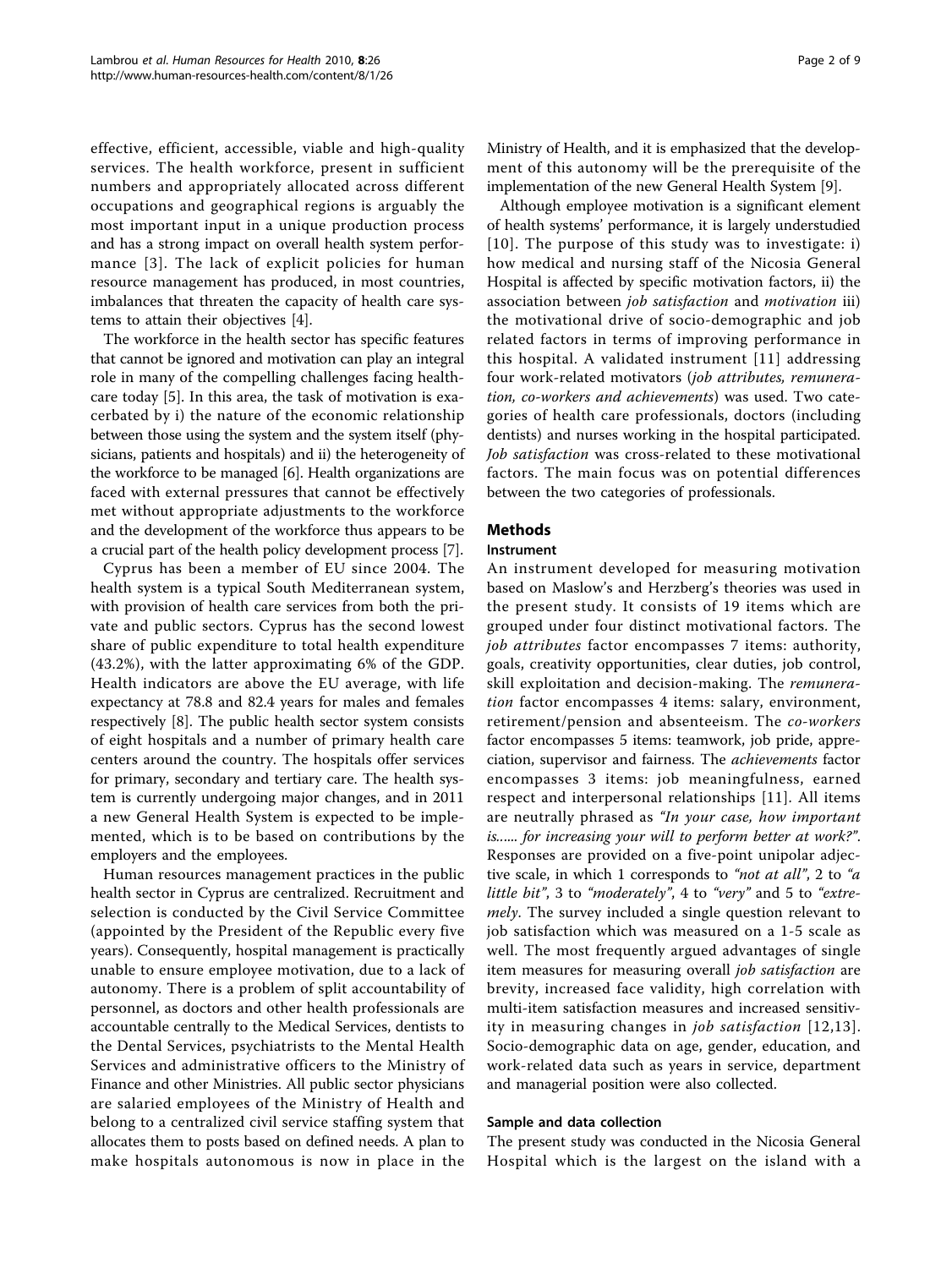effective, efficient, accessible, viable and high-quality services. The health workforce, present in sufficient numbers and appropriately allocated across different occupations and geographical regions is arguably the most important input in a unique production process and has a strong impact on overall health system performance [[3\]](#page-7-0). The lack of explicit policies for human resource management has produced, in most countries, imbalances that threaten the capacity of health care systems to attain their objectives [\[4](#page-7-0)].

The workforce in the health sector has specific features that cannot be ignored and motivation can play an integral role in many of the compelling challenges facing healthcare today [\[5](#page-7-0)]. In this area, the task of motivation is exacerbated by i) the nature of the economic relationship between those using the system and the system itself (physicians, patients and hospitals) and ii) the heterogeneity of the workforce to be managed [[6\]](#page-7-0). Health organizations are faced with external pressures that cannot be effectively met without appropriate adjustments to the workforce and the development of the workforce thus appears to be a crucial part of the health policy development process [\[7\]](#page-7-0).

Cyprus has been a member of EU since 2004. The health system is a typical South Mediterranean system, with provision of health care services from both the private and public sectors. Cyprus has the second lowest share of public expenditure to total health expenditure (43.2%), with the latter approximating 6% of the GDP. Health indicators are above the EU average, with life expectancy at 78.8 and 82.4 years for males and females respectively [\[8](#page-7-0)]. The public health sector system consists of eight hospitals and a number of primary health care centers around the country. The hospitals offer services for primary, secondary and tertiary care. The health system is currently undergoing major changes, and in 2011 a new General Health System is expected to be implemented, which is to be based on contributions by the employers and the employees.

Human resources management practices in the public health sector in Cyprus are centralized. Recruitment and selection is conducted by the Civil Service Committee (appointed by the President of the Republic every five years). Consequently, hospital management is practically unable to ensure employee motivation, due to a lack of autonomy. There is a problem of split accountability of personnel, as doctors and other health professionals are accountable centrally to the Medical Services, dentists to the Dental Services, psychiatrists to the Mental Health Services and administrative officers to the Ministry of Finance and other Ministries. All public sector physicians are salaried employees of the Ministry of Health and belong to a centralized civil service staffing system that allocates them to posts based on defined needs. A plan to make hospitals autonomous is now in place in the Ministry of Health, and it is emphasized that the development of this autonomy will be the prerequisite of the implementation of the new General Health System [[9\]](#page-7-0).

Although employee motivation is a significant element of health systems' performance, it is largely understudied [[10\]](#page-8-0). The purpose of this study was to investigate: i) how medical and nursing staff of the Nicosia General Hospital is affected by specific motivation factors, ii) the association between job satisfaction and motivation iii) the motivational drive of socio-demographic and job related factors in terms of improving performance in this hospital. A validated instrument [[11](#page-8-0)] addressing four work-related motivators (job attributes, remuneration, co-workers and achievements) was used. Two categories of health care professionals, doctors (including dentists) and nurses working in the hospital participated. Job satisfaction was cross-related to these motivational factors. The main focus was on potential differences between the two categories of professionals.

# Methods

# Instrument

An instrument developed for measuring motivation based on Maslow's and Herzberg's theories was used in the present study. It consists of 19 items which are grouped under four distinct motivational factors. The job attributes factor encompasses 7 items: authority, goals, creativity opportunities, clear duties, job control, skill exploitation and decision-making. The remuneration factor encompasses 4 items: salary, environment, retirement/pension and absenteeism. The co-workers factor encompasses 5 items: teamwork, job pride, appreciation, supervisor and fairness. The achievements factor encompasses 3 items: job meaningfulness, earned respect and interpersonal relationships [[11](#page-8-0)]. All items are neutrally phrased as "In your case, how important is...... for increasing your will to perform better at work?". Responses are provided on a five-point unipolar adjective scale, in which 1 corresponds to "not at all", 2 to "a little bit", 3 to "moderately", 4 to "very" and 5 to "extremely. The survey included a single question relevant to job satisfaction which was measured on a 1-5 scale as well. The most frequently argued advantages of single item measures for measuring overall job satisfaction are brevity, increased face validity, high correlation with multi-item satisfaction measures and increased sensitivity in measuring changes in job satisfaction [[12,13\]](#page-8-0). Socio-demographic data on age, gender, education, and work-related data such as years in service, department and managerial position were also collected.

# Sample and data collection

The present study was conducted in the Nicosia General Hospital which is the largest on the island with a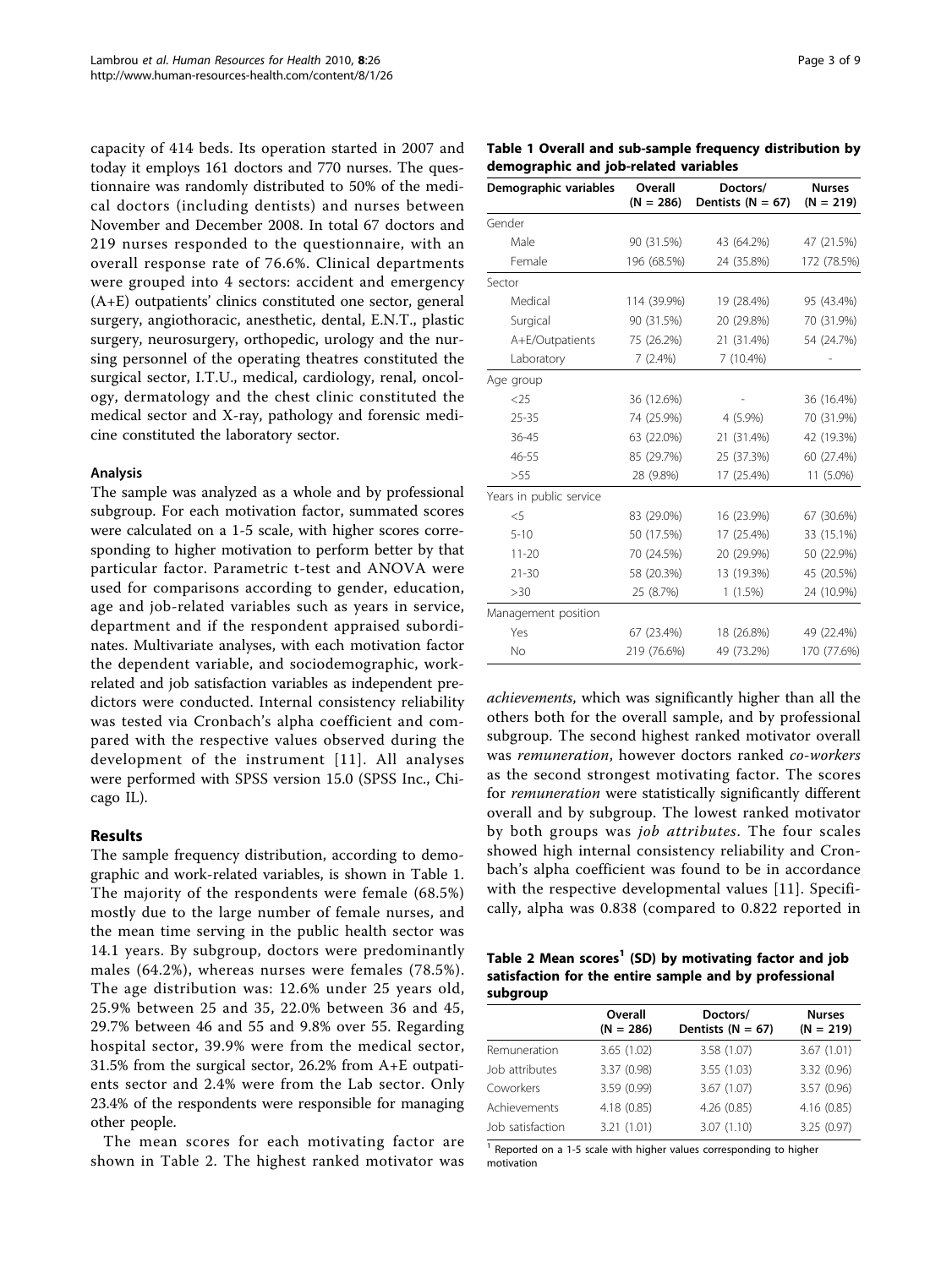capacity of 414 beds. Its operation started in 2007 and today it employs 161 doctors and 770 nurses. The questionnaire was randomly distributed to 50% of the medical doctors (including dentists) and nurses between November and December 2008. In total 67 doctors and 219 nurses responded to the questionnaire, with an overall response rate of 76.6%. Clinical departments were grouped into 4 sectors: accident and emergency (A+E) outpatients' clinics constituted one sector, general surgery, angiothoracic, anesthetic, dental, E.N.T., plastic surgery, neurosurgery, orthopedic, urology and the nursing personnel of the operating theatres constituted the surgical sector, I.T.U., medical, cardiology, renal, oncology, dermatology and the chest clinic constituted the medical sector and X-ray, pathology and forensic medicine constituted the laboratory sector.

# Analysis

The sample was analyzed as a whole and by professional subgroup. For each motivation factor, summated scores were calculated on a 1-5 scale, with higher scores corresponding to higher motivation to perform better by that particular factor. Parametric t-test and ANOVA were used for comparisons according to gender, education, age and job-related variables such as years in service, department and if the respondent appraised subordinates. Multivariate analyses, with each motivation factor the dependent variable, and sociodemographic, workrelated and job satisfaction variables as independent predictors were conducted. Internal consistency reliability was tested via Cronbach's alpha coefficient and compared with the respective values observed during the development of the instrument [[11](#page-8-0)]. All analyses were performed with SPSS version 15.0 (SPSS Inc., Chicago IL).

# Results

The sample frequency distribution, according to demographic and work-related variables, is shown in Table 1. The majority of the respondents were female (68.5%) mostly due to the large number of female nurses, and the mean time serving in the public health sector was 14.1 years. By subgroup, doctors were predominantly males (64.2%), whereas nurses were females (78.5%). The age distribution was: 12.6% under 25 years old, 25.9% between 25 and 35, 22.0% between 36 and 45, 29.7% between 46 and 55 and 9.8% over 55. Regarding hospital sector, 39.9% were from the medical sector, 31.5% from the surgical sector, 26.2% from A+E outpatients sector and 2.4% were from the Lab sector. Only 23.4% of the respondents were responsible for managing other people.

The mean scores for each motivating factor are shown in Table 2. The highest ranked motivator was

| Table 1 Overall and sub-sample frequency distribution by |  |
|----------------------------------------------------------|--|
| demographic and job-related variables                    |  |

| Demographic variables   | Overall<br>$(N = 286)$ | Doctors/<br>Dentists $(N = 67)$ | <b>Nurses</b><br>$(N = 219)$ |
|-------------------------|------------------------|---------------------------------|------------------------------|
| Gender                  |                        |                                 |                              |
| Male                    | 90 (31.5%)             | 43 (64.2%)                      | 47 (21.5%)                   |
| Female                  | 196 (68.5%)            | 24 (35.8%)                      | 172 (78.5%)                  |
| Sector                  |                        |                                 |                              |
| Medical                 | 114 (39.9%)            | 19 (28.4%)                      | 95 (43.4%)                   |
| Surgical                | 90 (31.5%)             | 20 (29.8%)                      | 70 (31.9%)                   |
| A+E/Outpatients         | 75 (26.2%)             | 21 (31.4%)                      | 54 (24.7%)                   |
| Laboratory              | 7(2.4%)                | 7 (10.4%)                       |                              |
| Age group               |                        |                                 |                              |
| $<$ 25                  | 36 (12.6%)             |                                 | 36 (16.4%)                   |
| $25 - 35$               | 74 (25.9%)             | 4 (5.9%)                        | 70 (31.9%)                   |
| 36-45                   | 63 (22.0%)             | 21 (31.4%)                      | 42 (19.3%)                   |
| 46-55                   | 85 (29.7%)             | 25 (37.3%)                      | 60 (27.4%)                   |
| >55                     | 28 (9.8%)              | 17 (25.4%)                      | 11 (5.0%)                    |
| Years in public service |                        |                                 |                              |
| $<$ 5                   | 83 (29.0%)             | 16 (23.9%)                      | 67 (30.6%)                   |
| $5 - 10$                | 50 (17.5%)             | 17 (25.4%)                      | 33 (15.1%)                   |
| $11 - 20$               | 70 (24.5%)             | 20 (29.9%)                      | 50 (22.9%)                   |
| $21 - 30$               | 58 (20.3%)             | 13 (19.3%)                      | 45 (20.5%)                   |
| >30                     | 25 (8.7%)              | $1(1.5\%)$                      | 24 (10.9%)                   |
| Management position     |                        |                                 |                              |
| Yes                     | 67 (23.4%)             | 18 (26.8%)                      | 49 (22.4%)                   |
| <b>No</b>               | 219 (76.6%)            | 49 (73.2%)                      | 170 (77.6%)                  |

achievements, which was significantly higher than all the others both for the overall sample, and by professional subgroup. The second highest ranked motivator overall was remuneration, however doctors ranked co-workers as the second strongest motivating factor. The scores for remuneration were statistically significantly different overall and by subgroup. The lowest ranked motivator by both groups was job attributes. The four scales showed high internal consistency reliability and Cronbach's alpha coefficient was found to be in accordance with the respective developmental values [\[11\]](#page-8-0). Specifically, alpha was 0.838 (compared to 0.822 reported in

| Table 2 Mean scores <sup>1</sup> (SD) by motivating factor and job |  |
|--------------------------------------------------------------------|--|
| satisfaction for the entire sample and by professional             |  |
| subgroup                                                           |  |

|                  | Overall<br>$(N = 286)$ | Doctors/<br>Dentists ( $N = 67$ ) | <b>Nurses</b><br>$(N = 219)$ |
|------------------|------------------------|-----------------------------------|------------------------------|
| Remuneration     | 3.65(1.02)             | 3.58 (1.07)                       | 3.67 (1.01)                  |
| Job attributes   | 3.37 (0.98)            | 3.55 (1.03)                       | 3.32 (0.96)                  |
| Coworkers        | 3.59 (0.99)            | 3.67 (1.07)                       | 3.57 (0.96)                  |
| Achievements     | 4.18 (0.85)            | 4.26(0.85)                        | 4.16(0.85)                   |
| Job satisfaction | 3.21 (1.01)            | 3.07 (1.10)                       | 3.25 (0.97)                  |

<sup>1</sup> Reported on a 1-5 scale with higher values corresponding to higher motivation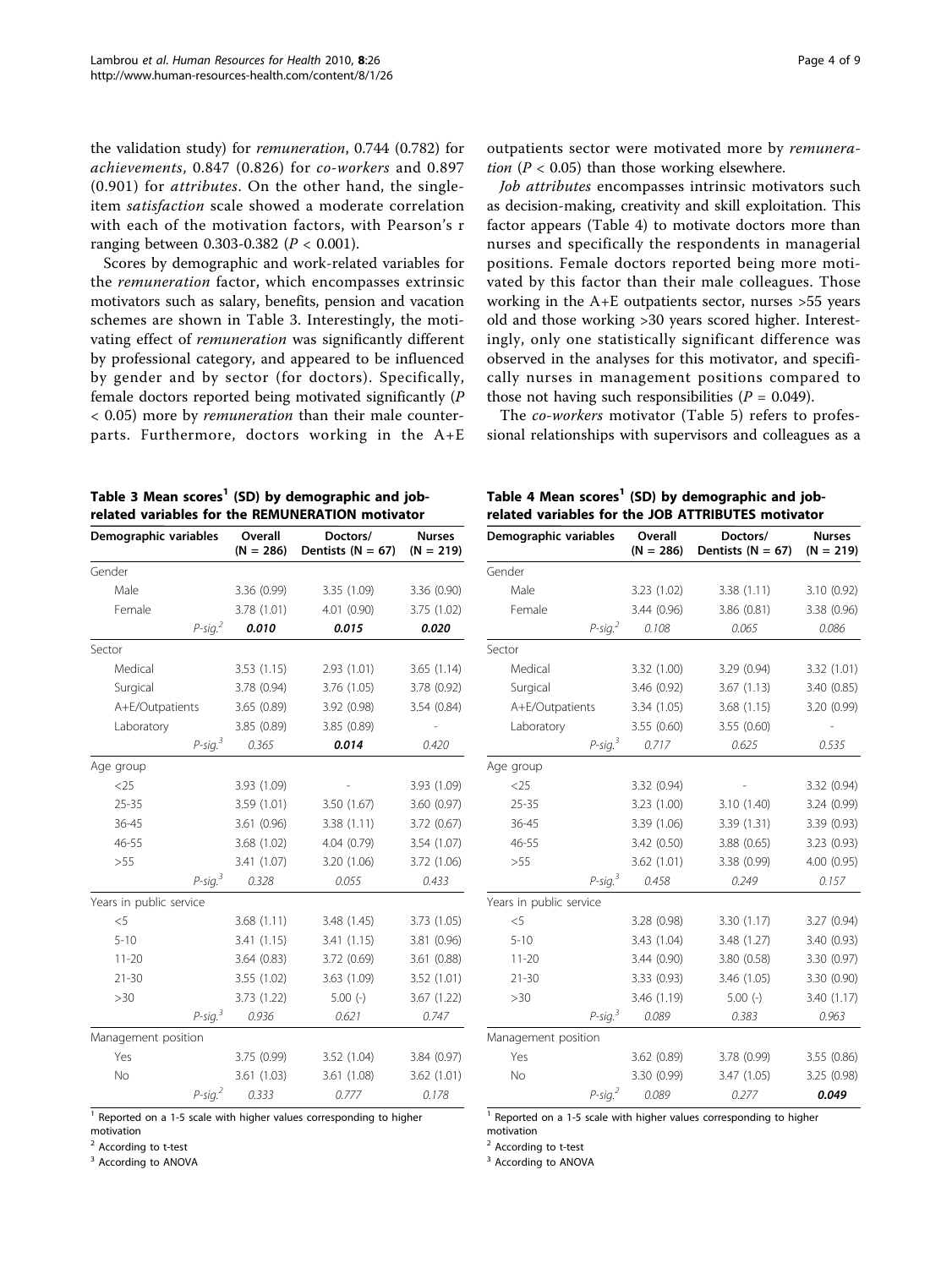the validation study) for remuneration, 0.744 (0.782) for achievements, 0.847 (0.826) for co-workers and 0.897 (0.901) for attributes. On the other hand, the singleitem satisfaction scale showed a moderate correlation with each of the motivation factors, with Pearson's r ranging between 0.303-0.382 (P < 0.001).

Scores by demographic and work-related variables for the remuneration factor, which encompasses extrinsic motivators such as salary, benefits, pension and vacation schemes are shown in Table 3. Interestingly, the motivating effect of remuneration was significantly different by professional category, and appeared to be influenced by gender and by sector (for doctors). Specifically, female doctors reported being motivated significantly (P < 0.05) more by remuneration than their male counterparts. Furthermore, doctors working in the A+E outpatients sector were motivated more by remunera*tion* ( $P < 0.05$ ) than those working elsewhere.

Job attributes encompasses intrinsic motivators such as decision-making, creativity and skill exploitation. This factor appears (Table 4) to motivate doctors more than nurses and specifically the respondents in managerial positions. Female doctors reported being more motivated by this factor than their male colleagues. Those working in the A+E outpatients sector, nurses >55 years old and those working >30 years scored higher. Interestingly, only one statistically significant difference was observed in the analyses for this motivator, and specifically nurses in management positions compared to those not having such responsibilities  $(P = 0.049)$ .

The co-workers motivator (Table [5](#page-4-0)) refers to professional relationships with supervisors and colleagues as a

Table 3 Mean scores<sup>1</sup> (SD) by demographic and jobrelated variables for the REMUNERATION motivator

| Table 4 Mean scores <sup>1</sup> (SD) by demographic and job- |  |  |  |
|---------------------------------------------------------------|--|--|--|
| related variables for the JOB ATTRIBUTES motivator            |  |  |  |

| Demographic variables   |                        | Overall<br>$(N = 286)$ | Doctors/<br>Dentists ( $N = 67$ ) | <b>Nurses</b><br>$(N = 219)$ |
|-------------------------|------------------------|------------------------|-----------------------------------|------------------------------|
| Gender                  |                        |                        |                                   |                              |
| Male                    |                        | 3.36 (0.99)            | 3.35 (1.09)                       | 3.36 (0.90)                  |
| Female                  |                        | 3.78 (1.01)            | 4.01 (0.90)                       | 3.75 (1.02)                  |
|                         | $P$ -sig. <sup>2</sup> | 0.010                  | 0.015                             | 0.020                        |
| Sector                  |                        |                        |                                   |                              |
| Medical                 |                        | 3.53(1.15)             | 2.93(1.01)                        | 3.65(1.14)                   |
| Surgical                |                        | 3.78 (0.94)            | 3.76 (1.05)                       | 3.78 (0.92)                  |
| A+E/Outpatients         |                        | 3.65(0.89)             | 3.92 (0.98)                       | 3.54 (0.84)                  |
| Laboratory              |                        | 3.85 (0.89)            | 3.85 (0.89)                       |                              |
|                         | $P$ -sig. <sup>3</sup> | 0.365                  | 0.014                             | 0.420                        |
| Age group               |                        |                        |                                   |                              |
| $<$ 25                  |                        | 3.93 (1.09)            |                                   | 3.93 (1.09)                  |
| $25 - 35$               |                        | 3.59 (1.01)            | 3.50 (1.67)                       | 3.60 (0.97)                  |
| $36 - 45$               |                        | 3.61 (0.96)            | 3.38 (1.11)                       | 3.72 (0.67)                  |
| $46 - 55$               |                        | 3.68 (1.02)            | 4.04 (0.79)                       | 3.54 (1.07)                  |
| >55                     |                        | 3.41 (1.07)            | 3.20 (1.06)                       | 3.72 (1.06)                  |
|                         | $P$ -sig. <sup>3</sup> | 0.328                  | 0.055                             | 0.433                        |
| Years in public service |                        |                        |                                   |                              |
| $<$ 5                   |                        | 3.68(1.11)             | 3.48 (1.45)                       | 3.73 (1.05)                  |
| $5 - 10$                |                        | 3.41(1.15)             | 3.41(1.15)                        | 3.81 (0.96)                  |
| $11 - 20$               |                        | 3.64(0.83)             | 3.72 (0.69)                       | 3.61 (0.88)                  |
| $21 - 30$               |                        | 3.55(1.02)             | 3.63 (1.09)                       | 3.52 (1.01)                  |
| >30                     |                        | 3.73 (1.22)            | $5.00(-)$                         | 3.67 (1.22)                  |
|                         | $P$ -sig. <sup>3</sup> | 0.936                  | 0.621                             | 0.747                        |
| Management position     |                        |                        |                                   |                              |
| Yes                     |                        | 3.75 (0.99)            | 3.52 (1.04)                       | 3.84 (0.97)                  |
| <b>No</b>               |                        | 3.61 (1.03)            | 3.61 (1.08)                       | 3.62 (1.01)                  |
|                         | $P$ -sig. <sup>2</sup> | 0.333                  | 0.777                             | 0.178                        |

prted on a 1-5 scale with higher values corresponding to higher motivation

<sup>2</sup> According to t-test

<sup>3</sup> According to ANOVA

| Demographic variables   |                        | Overall<br>$(N = 286)$ | Doctors/<br>Dentists ( $N = 67$ ) | <b>Nurses</b><br>$(N = 219)$ |
|-------------------------|------------------------|------------------------|-----------------------------------|------------------------------|
| Gender                  |                        |                        |                                   |                              |
| Male                    |                        | 3.23 (1.02)            | 3.38(1.11)                        | 3.10 (0.92)                  |
| Female                  |                        | 3.44 (0.96)            | 3.86 (0.81)                       | 3.38 (0.96)                  |
|                         | $P$ -sig. <sup>2</sup> | 0.108                  | 0.065                             | 0.086                        |
| Sector                  |                        |                        |                                   |                              |
| Medical                 |                        | 3.32 (1.00)            | 3.29 (0.94)                       | 3.32 (1.01)                  |
| Surgical                |                        | 3.46 (0.92)            | 3.67(1.13)                        | 3.40 (0.85)                  |
| A+E/Outpatients         |                        | 3.34 (1.05)            | 3.68(1.15)                        | 3.20 (0.99)                  |
| Laboratory              |                        | 3.55 (0.60)            | 3.55 (0.60)                       |                              |
|                         | $P$ -sig. <sup>3</sup> | 0.717                  | 0.625                             | 0.535                        |
| Age group               |                        |                        |                                   |                              |
| $<$ 25                  |                        | 3.32 (0.94)            |                                   | 3.32 (0.94)                  |
| $25 - 35$               |                        | 3.23 (1.00)            | 3.10 (1.40)                       | 3.24 (0.99)                  |
| 36-45                   |                        | 3.39 (1.06)            | 3.39 (1.31)                       | 3.39 (0.93)                  |
| 46-55                   |                        | 3.42 (0.50)            | 3.88(0.65)                        | 3.23 (0.93)                  |
| >55                     |                        | 3.62 (1.01)            | 3.38 (0.99)                       | 4.00 (0.95)                  |
|                         | $P$ -sig. <sup>3</sup> | 0.458                  | 0.249                             | 0.157                        |
| Years in public service |                        |                        |                                   |                              |
| $<$ 5                   |                        | 3.28 (0.98)            | 3.30(1.17)                        | 3.27 (0.94)                  |
| $5 - 10$                |                        | 3.43 (1.04)            | 3.48 (1.27)                       | 3.40 (0.93)                  |
| $11 - 20$               |                        | 3.44 (0.90)            | 3.80 (0.58)                       | 3.30 (0.97)                  |
| $21 - 30$               |                        | 3.33 (0.93)            | 3.46 (1.05)                       | 3.30 (0.90)                  |
| >30                     |                        | 3.46 (1.19)            | $5.00(-)$                         | 3.40 (1.17)                  |
|                         | $P$ -sig. <sup>3</sup> | 0.089                  | 0.383                             | 0.963                        |
| Management position     |                        |                        |                                   |                              |
| Yes                     |                        | 3.62 (0.89)            | 3.78 (0.99)                       | 3.55 (0.86)                  |
| <b>No</b>               |                        | 3.30 (0.99)            | 3.47 (1.05)                       | 3.25 (0.98)                  |
|                         | $P$ -sig. <sup>2</sup> | 0.089                  | 0.277                             | 0.049                        |

 $1$  Reported on a 1-5 scale with higher values corresponding to higher motivation

<sup>2</sup> According to t-test

<sup>3</sup> According to ANOVA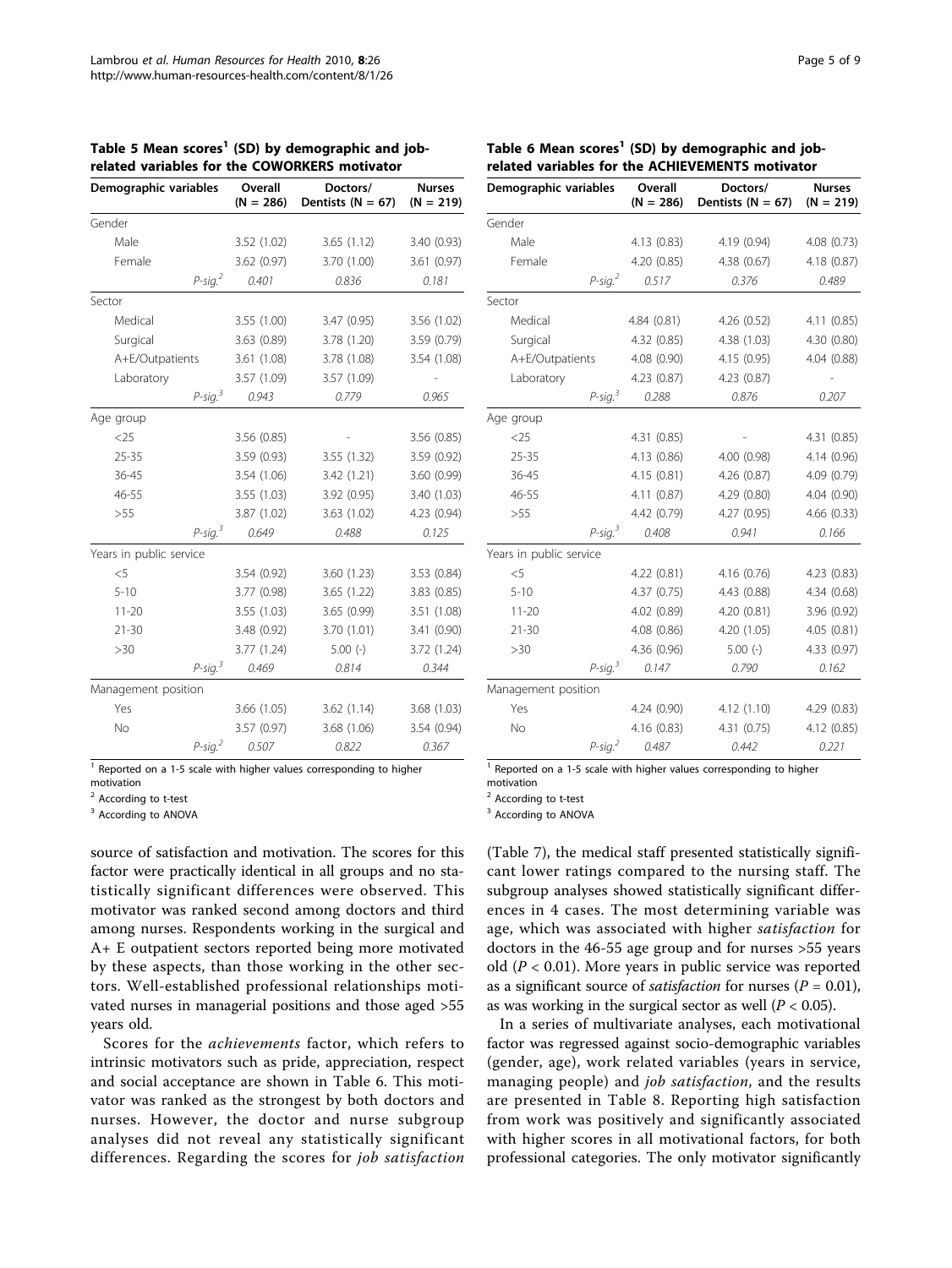| Demographic variables   |                        | Overall<br>$(N = 286)$ | Doctors/<br>Dentists ( $N = 67$ ) | <b>Nurses</b><br>$(N = 219)$ |
|-------------------------|------------------------|------------------------|-----------------------------------|------------------------------|
| Gender                  |                        |                        |                                   |                              |
| Male                    |                        | 3.52 (1.02)            | 3.65(1.12)                        | 3.40 (0.93)                  |
| Female                  |                        | 3.62 (0.97)            | 3.70 (1.00)                       | 3.61 (0.97)                  |
|                         | $P$ -sig. <sup>2</sup> | 0.401                  | 0.836                             | 0.181                        |
| Sector                  |                        |                        |                                   |                              |
| Medical                 |                        | 3.55 (1.00)            | 3.47(0.95)                        | 3.56 (1.02)                  |
| Surgical                |                        | 3.63 (0.89)            | 3.78 (1.20)                       | 3.59 (0.79)                  |
| A+E/Outpatients         |                        | 3.61 (1.08)            | 3.78 (1.08)                       | 3.54 (1.08)                  |
| Laboratory              |                        | 3.57 (1.09)            | 3.57 (1.09)                       |                              |
|                         | $P$ -sig. <sup>3</sup> | 0.943                  | 0.779                             | 0.965                        |
| Age group               |                        |                        |                                   |                              |
| $<$ 25                  |                        | 3.56 (0.85)            |                                   | 3.56 (0.85)                  |
| $25 - 35$               |                        | 3.59 (0.93)            | 3.55 (1.32)                       | 3.59 (0.92)                  |
| 36-45                   |                        | 3.54 (1.06)            | 3.42 (1.21)                       | 3.60 (0.99)                  |
| 46-55                   |                        | 3.55(1.03)             | 3.92 (0.95)                       | 3.40 (1.03)                  |
| >55                     |                        | 3.87 (1.02)            | 3.63 (1.02)                       | 4.23 (0.94)                  |
|                         | $P$ -sig. <sup>3</sup> | 0.649                  | 0.488                             | 0.125                        |
| Years in public service |                        |                        |                                   |                              |
| $<$ 5                   |                        | 3.54(0.92)             | 3.60(1.23)                        | 3.53 (0.84)                  |
| $5 - 10$                |                        | 3.77 (0.98)            | 3.65 (1.22)                       | 3.83 (0.85)                  |
| $11 - 20$               |                        | 3.55(1.03)             | 3.65 (0.99)                       | 3.51 (1.08)                  |
| $21 - 30$               |                        | 3.48 (0.92)            | 3.70 (1.01)                       | 3.41 (0.90)                  |
| >30                     |                        | 3.77 (1.24)            | $5.00(-)$                         | 3.72 (1.24)                  |
|                         | $P$ -sig. <sup>3</sup> | 0.469                  | 0.814                             | 0.344                        |
| Management position     |                        |                        |                                   |                              |
| Yes                     |                        | 3.66(1.05)             | 3.62(1.14)                        | 3.68 (1.03)                  |
| <b>No</b>               |                        | 3.57 (0.97)            | 3.68 (1.06)                       | 3.54 (0.94)                  |
|                         | $P$ -sig. <sup>2</sup> | 0.507                  | 0.822                             | 0.367                        |

<span id="page-4-0"></span>Table 5 Mean scores<sup>1</sup> (SD) by demographic and jobrelated variables for the COWORKERS motivator

 $1$  Reported on a 1-5 scale with higher values corresponding to higher motivation

<sup>2</sup> According to t-test

<sup>3</sup> According to ANOVA

source of satisfaction and motivation. The scores for this factor were practically identical in all groups and no statistically significant differences were observed. This motivator was ranked second among doctors and third among nurses. Respondents working in the surgical and A+ E outpatient sectors reported being more motivated by these aspects, than those working in the other sectors. Well-established professional relationships motivated nurses in managerial positions and those aged >55 years old.

Scores for the achievements factor, which refers to intrinsic motivators such as pride, appreciation, respect and social acceptance are shown in Table 6. This motivator was ranked as the strongest by both doctors and nurses. However, the doctor and nurse subgroup analyses did not reveal any statistically significant differences. Regarding the scores for job satisfaction

| Demographic variables   | Overall<br>$(N = 286)$ | Doctors/<br>Dentists ( $N = 67$ ) | <b>Nurses</b><br>$(N = 219)$ |
|-------------------------|------------------------|-----------------------------------|------------------------------|
| Gender                  |                        |                                   |                              |
| Male                    | 4.13 (0.83)            | 4.19 (0.94)                       | 4.08 (0.73)                  |
| Female                  | 4.20 (0.85)            | 4.38 (0.67)                       | 4.18 (0.87)                  |
| $P$ -sig. <sup>2</sup>  | 0.517                  | 0.376                             | 0.489                        |
| Sector                  |                        |                                   |                              |
| Medical                 | 4.84 (0.81)            | 4.26 (0.52)                       | 4.11(0.85)                   |
| Surgical                | 4.32(0.85)             | 4.38 (1.03)                       | 4.30 (0.80)                  |
| A+E/Outpatients         | 4.08 (0.90)            | 4.15 (0.95)                       | 4.04 (0.88)                  |
| Laboratory              | 4.23 (0.87)            | 4.23 (0.87)                       |                              |
| $P$ -sig. <sup>3</sup>  | 0.288                  | 0.876                             | 0.207                        |
| Age group               |                        |                                   |                              |
| $<$ 25                  | 4.31 (0.85)            |                                   | 4.31 (0.85)                  |
| $25 - 35$               | 4.13 (0.86)            | 4.00 (0.98)                       | 4.14 (0.96)                  |
| 36-45                   | 4.15 (0.81)            | 4.26 (0.87)                       | 4.09 (0.79)                  |
| 46-55                   | 4.11 (0.87)            | 4.29 (0.80)                       | 4.04 (0.90)                  |
| >55                     | 4.42 (0.79)            | 4.27 (0.95)                       | 4.66(0.33)                   |
| $P$ -sig. $3$           | 0.408                  | 0.941                             | 0.166                        |
| Years in public service |                        |                                   |                              |
| $<$ 5                   | 4.22 (0.81)            | 4.16 (0.76)                       | 4.23 (0.83)                  |
| $5 - 10$                | 4.37(0.75)             | 4.43 (0.88)                       | 4.34 (0.68)                  |
| $11 - 20$               | 4.02 (0.89)            | 4.20 (0.81)                       | 3.96 (0.92)                  |
| $21 - 30$               | 4.08 (0.86)            | 4.20 (1.05)                       | 4.05 (0.81)                  |
| >30                     | 4.36 (0.96)            | $5.00(-)$                         | 4.33 (0.97)                  |
| $P$ -sig. <sup>3</sup>  | 0.147                  | 0.790                             | 0.162                        |
| Management position     |                        |                                   |                              |
| Yes                     | 4.24 (0.90)            | 4.12 (1.10)                       | 4.29 (0.83)                  |
| No                      | 4.16 (0.83)            | 4.31 (0.75)                       | 4.12 (0.85)                  |
| $P$ -sia. <sup>2</sup>  | 0.487                  | 0.442                             | 0.221                        |

Table 6 Mean scores<sup>1</sup> (SD) by demographic and jobrelated variables for the ACHIEVEMENTS motivator

 $1$  Reported on a 1-5 scale with higher values corresponding to higher

motivation

<sup>2</sup> According to t-test

<sup>3</sup> According to ANOVA

(Table [7](#page-5-0)), the medical staff presented statistically significant lower ratings compared to the nursing staff. The subgroup analyses showed statistically significant differences in 4 cases. The most determining variable was age, which was associated with higher satisfaction for doctors in the 46-55 age group and for nurses >55 years old ( $P < 0.01$ ). More years in public service was reported as a significant source of *satisfaction* for nurses ( $P = 0.01$ ), as was working in the surgical sector as well ( $P < 0.05$ ).

In a series of multivariate analyses, each motivational factor was regressed against socio-demographic variables (gender, age), work related variables (years in service, managing people) and job satisfaction, and the results are presented in Table [8.](#page-5-0) Reporting high satisfaction from work was positively and significantly associated with higher scores in all motivational factors, for both professional categories. The only motivator significantly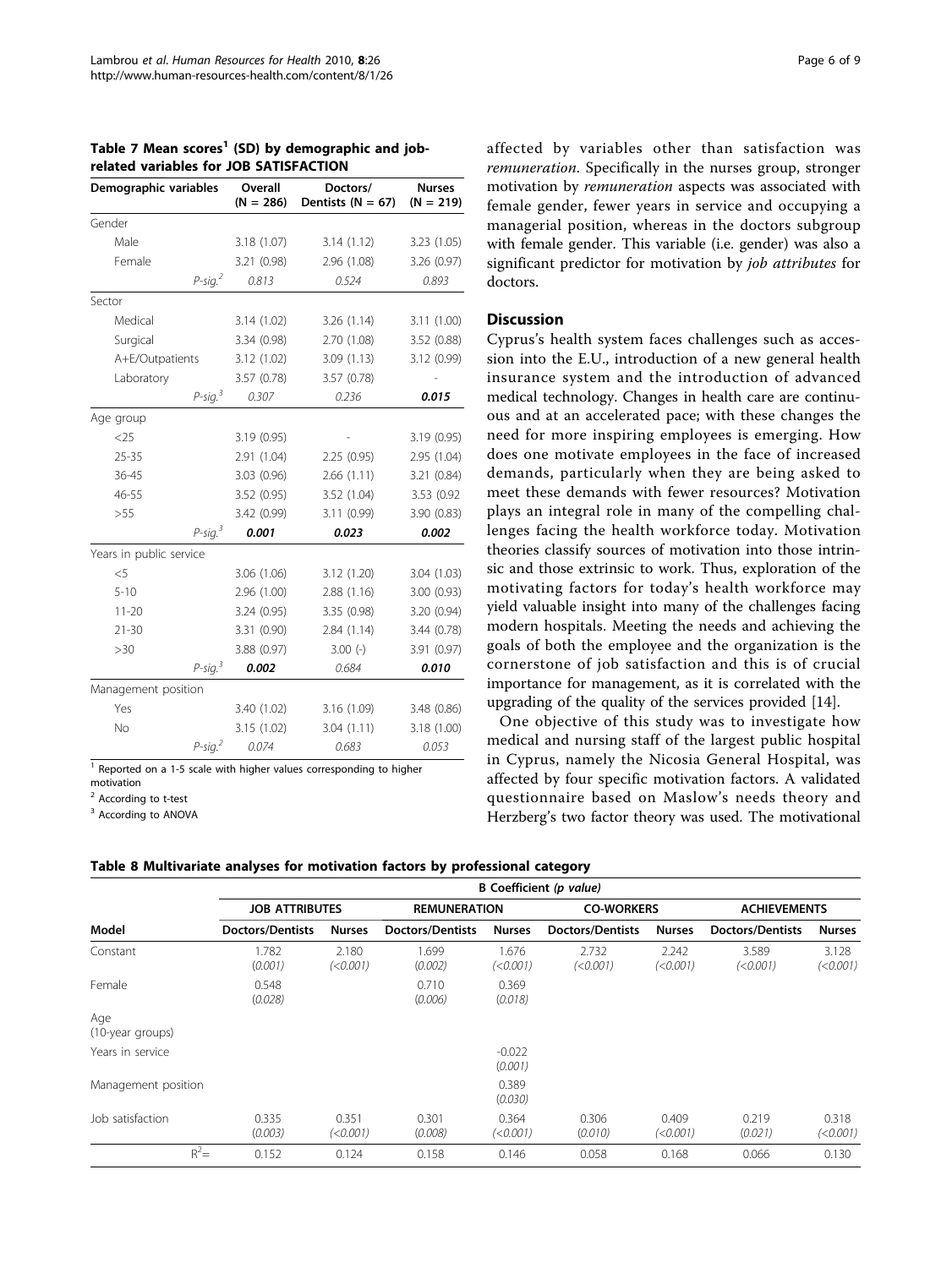| Demographic variables   |                        | Overall<br>$(N = 286)$ | Doctors/<br>Dentists ( $N = 67$ ) | <b>Nurses</b><br>$(N = 219)$ |
|-------------------------|------------------------|------------------------|-----------------------------------|------------------------------|
| Gender                  |                        |                        |                                   |                              |
| Male                    |                        | 3.18 (1.07)            | 3.14(1.12)                        | 3.23 (1.05)                  |
| Female                  |                        | 3.21 (0.98)            | 2.96 (1.08)                       | 3.26 (0.97)                  |
|                         | $P$ -sig. <sup>2</sup> | 0.813                  | 0.524                             | 0.893                        |
| Sector                  |                        |                        |                                   |                              |
| Medical                 |                        | 3.14 (1.02)            | 3.26(1.14)                        | 3.11(1.00)                   |
| Surgical                |                        | 3.34 (0.98)            | 2.70 (1.08)                       | 3.52 (0.88)                  |
| A+E/Outpatients         |                        | 3.12 (1.02)            | 3.09(1.13)                        | 3.12 (0.99)                  |
| Laboratory              |                        | 3.57 (0.78)            | 3.57 (0.78)                       |                              |
|                         | $P$ -sig. <sup>3</sup> | 0.307                  | 0.236                             | 0.015                        |
| Age group               |                        |                        |                                   |                              |
| $<$ 25                  |                        | 3.19 (0.95)            |                                   | 3.19(0.95)                   |
| $25 - 35$               |                        | 2.91(1.04)             | 2.25(0.95)                        | 2.95 (1.04)                  |
| 36-45                   |                        | 3.03 (0.96)            | 2.66(1.11)                        | 3.21 (0.84)                  |
| 46-55                   |                        | 3.52 (0.95)            | 3.52 (1.04)                       | 3.53 (0.92                   |
| >55                     |                        | 3.42 (0.99)            | 3.11 (0.99)                       | 3.90 (0.83)                  |
|                         | $P$ -sig. $3$          | 0.001                  | 0.023                             | 0.002                        |
| Years in public service |                        |                        |                                   |                              |
| $<$ 5                   |                        | 3.06 (1.06)            | 3.12 (1.20)                       | 3.04 (1.03)                  |
| $5 - 10$                |                        | 2.96 (1.00)            | 2.88(1.16)                        | 3.00(0.93)                   |
| $11 - 20$               |                        | 3.24 (0.95)            | 3.35 (0.98)                       | 3.20 (0.94)                  |
| $21 - 30$               |                        | 3.31 (0.90)            | 2.84(1.14)                        | 3.44 (0.78)                  |
| >30                     |                        | 3.88 (0.97)            | $3.00(-)$                         | 3.91 (0.97)                  |
|                         | $P$ -sig. <sup>3</sup> | 0.002                  | 0.684                             | 0.010                        |
| Management position     |                        |                        |                                   |                              |
| Yes                     |                        | 3.40 (1.02)            | 3.16 (1.09)                       | 3.48 (0.86)                  |
| <b>No</b>               |                        | 3.15 (1.02)            | 3.04(1.11)                        | 3.18 (1.00)                  |
|                         | $P$ -sig. <sup>2</sup> | 0.074                  | 0.683                             | 0.053                        |

<span id="page-5-0"></span>Table 7 Mean scores<sup>1</sup> (SD) by demographic and jobrelated variables for JOB SATISFACTION

 $1$  Reported on a 1-5 scale with higher values corresponding to higher motivation

<sup>2</sup> According to t-test

<sup>3</sup> According to ANOVA

affected by variables other than satisfaction was remuneration. Specifically in the nurses group, stronger motivation by remuneration aspects was associated with female gender, fewer years in service and occupying a managerial position, whereas in the doctors subgroup with female gender. This variable (i.e. gender) was also a significant predictor for motivation by job attributes for doctors.

# **Discussion**

Cyprus's health system faces challenges such as accession into the E.U., introduction of a new general health insurance system and the introduction of advanced medical technology. Changes in health care are continuous and at an accelerated pace; with these changes the need for more inspiring employees is emerging. How does one motivate employees in the face of increased demands, particularly when they are being asked to meet these demands with fewer resources? Motivation plays an integral role in many of the compelling challenges facing the health workforce today. Motivation theories classify sources of motivation into those intrinsic and those extrinsic to work. Thus, exploration of the motivating factors for today's health workforce may yield valuable insight into many of the challenges facing modern hospitals. Meeting the needs and achieving the goals of both the employee and the organization is the cornerstone of job satisfaction and this is of crucial importance for management, as it is correlated with the upgrading of the quality of the services provided [[14\]](#page-8-0).

One objective of this study was to investigate how medical and nursing staff of the largest public hospital in Cyprus, namely the Nicosia General Hospital, was affected by four specific motivation factors. A validated questionnaire based on Maslow's needs theory and Herzberg's two factor theory was used. The motivational

|                         |                         |                   |                         |                     | B Coefficient (p value) |                   |                         |                     |  |
|-------------------------|-------------------------|-------------------|-------------------------|---------------------|-------------------------|-------------------|-------------------------|---------------------|--|
|                         | <b>JOB ATTRIBUTES</b>   |                   |                         | <b>REMUNERATION</b> |                         | <b>CO-WORKERS</b> |                         | <b>ACHIEVEMENTS</b> |  |
| Model                   | <b>Doctors/Dentists</b> | <b>Nurses</b>     | <b>Doctors/Dentists</b> | <b>Nurses</b>       | <b>Doctors/Dentists</b> | <b>Nurses</b>     | <b>Doctors/Dentists</b> | <b>Nurses</b>       |  |
| Constant                | 1.782<br>(0.001)        | 2.180<br>(<0.001) | 1.699<br>(0.002)        | 1.676<br>(<0.001)   | 2.732<br>(<0.001)       | 2.242<br>(<0.001) | 3.589<br>(<0.001)       | 3.128<br>(<0.001)   |  |
| Female                  | 0.548<br>(0.028)        |                   | 0.710<br>(0.006)        | 0.369<br>(0.018)    |                         |                   |                         |                     |  |
| Age<br>(10-year groups) |                         |                   |                         |                     |                         |                   |                         |                     |  |
| Years in service        |                         |                   |                         | $-0.022$<br>(0.001) |                         |                   |                         |                     |  |
| Management position     |                         |                   |                         | 0.389<br>(0.030)    |                         |                   |                         |                     |  |
| Job satisfaction        | 0.335<br>(0.003)        | 0.351<br>(<0.001) | 0.301<br>(0.008)        | 0.364<br>(<0.001)   | 0.306<br>(0.010)        | 0.409<br>(<0.001) | 0.219<br>(0.021)        | 0.318<br>(<0.001)   |  |
| $R^2=$                  | 0.152                   | 0.124             | 0.158                   | 0.146               | 0.058                   | 0.168             | 0.066                   | 0.130               |  |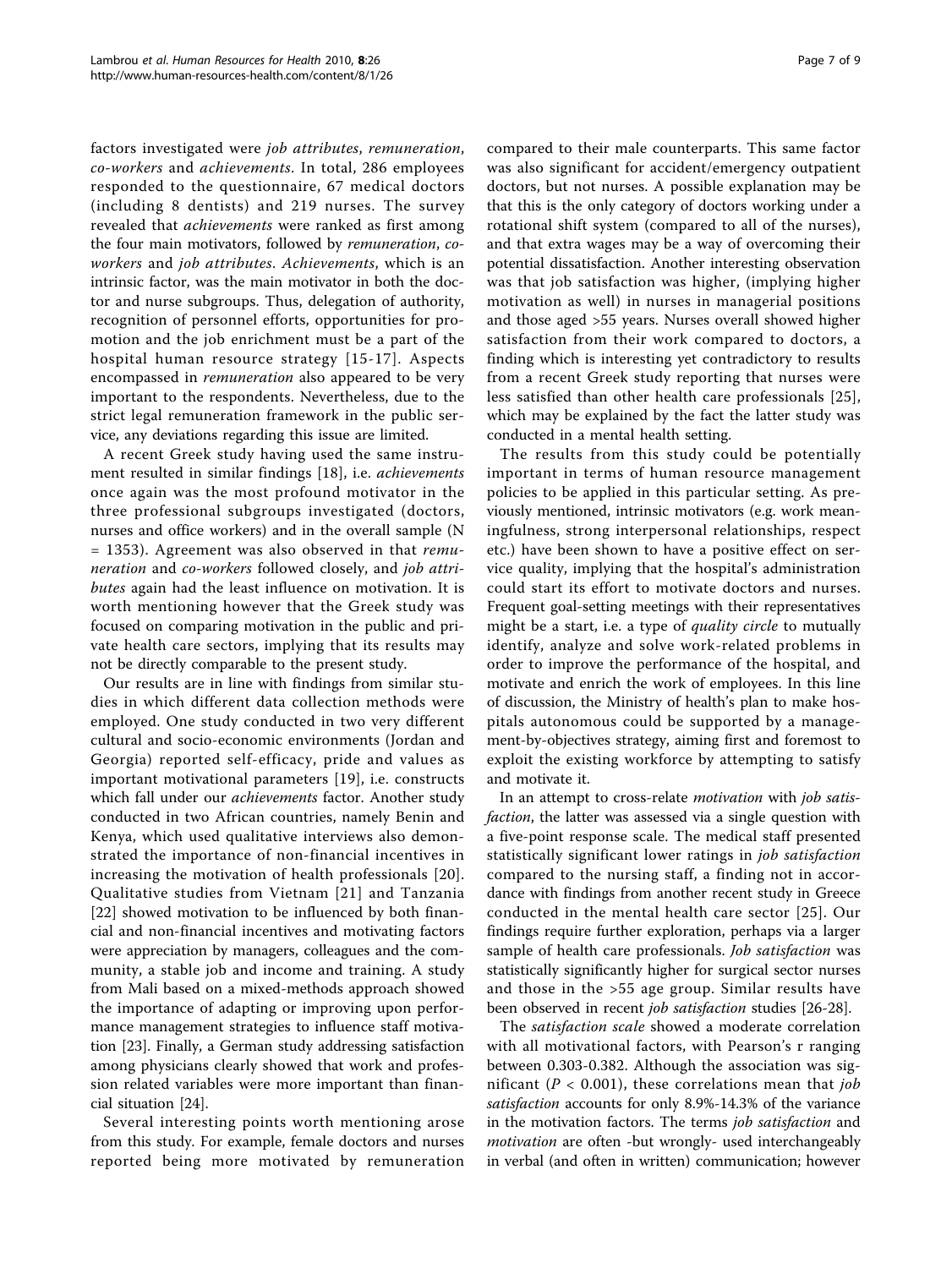factors investigated were job attributes, remuneration, co-workers and achievements. In total, 286 employees responded to the questionnaire, 67 medical doctors (including 8 dentists) and 219 nurses. The survey revealed that achievements were ranked as first among the four main motivators, followed by remuneration, coworkers and job attributes. Achievements, which is an intrinsic factor, was the main motivator in both the doctor and nurse subgroups. Thus, delegation of authority, recognition of personnel efforts, opportunities for promotion and the job enrichment must be a part of the hospital human resource strategy [[15-17](#page-8-0)]. Aspects encompassed in remuneration also appeared to be very important to the respondents. Nevertheless, due to the strict legal remuneration framework in the public service, any deviations regarding this issue are limited.

A recent Greek study having used the same instrument resulted in similar findings [[18\]](#page-8-0), i.e. achievements once again was the most profound motivator in the three professional subgroups investigated (doctors, nurses and office workers) and in the overall sample (N  $= 1353$ ). Agreement was also observed in that *remu*neration and co-workers followed closely, and job attributes again had the least influence on motivation. It is worth mentioning however that the Greek study was focused on comparing motivation in the public and private health care sectors, implying that its results may not be directly comparable to the present study.

Our results are in line with findings from similar studies in which different data collection methods were employed. One study conducted in two very different cultural and socio-economic environments (Jordan and Georgia) reported self-efficacy, pride and values as important motivational parameters [\[19\]](#page-8-0), i.e. constructs which fall under our achievements factor. Another study conducted in two African countries, namely Benin and Kenya, which used qualitative interviews also demonstrated the importance of non-financial incentives in increasing the motivation of health professionals [[20](#page-8-0)]. Qualitative studies from Vietnam [[21\]](#page-8-0) and Tanzania [[22\]](#page-8-0) showed motivation to be influenced by both financial and non-financial incentives and motivating factors were appreciation by managers, colleagues and the community, a stable job and income and training. A study from Mali based on a mixed-methods approach showed the importance of adapting or improving upon performance management strategies to influence staff motivation [\[23](#page-8-0)]. Finally, a German study addressing satisfaction among physicians clearly showed that work and profession related variables were more important than financial situation [\[24](#page-8-0)].

Several interesting points worth mentioning arose from this study. For example, female doctors and nurses reported being more motivated by remuneration compared to their male counterparts. This same factor was also significant for accident/emergency outpatient doctors, but not nurses. A possible explanation may be that this is the only category of doctors working under a rotational shift system (compared to all of the nurses), and that extra wages may be a way of overcoming their potential dissatisfaction. Another interesting observation was that job satisfaction was higher, (implying higher motivation as well) in nurses in managerial positions and those aged >55 years. Nurses overall showed higher satisfaction from their work compared to doctors, a finding which is interesting yet contradictory to results from a recent Greek study reporting that nurses were less satisfied than other health care professionals [[25](#page-8-0)], which may be explained by the fact the latter study was

The results from this study could be potentially important in terms of human resource management policies to be applied in this particular setting. As previously mentioned, intrinsic motivators (e.g. work meaningfulness, strong interpersonal relationships, respect etc.) have been shown to have a positive effect on service quality, implying that the hospital's administration could start its effort to motivate doctors and nurses. Frequent goal-setting meetings with their representatives might be a start, i.e. a type of *quality circle* to mutually identify, analyze and solve work-related problems in order to improve the performance of the hospital, and motivate and enrich the work of employees. In this line of discussion, the Ministry of health's plan to make hospitals autonomous could be supported by a management-by-objectives strategy, aiming first and foremost to exploit the existing workforce by attempting to satisfy and motivate it.

conducted in a mental health setting.

In an attempt to cross-relate *motivation* with *job satisfaction*, the latter was assessed via a single question with a five-point response scale. The medical staff presented statistically significant lower ratings in job satisfaction compared to the nursing staff, a finding not in accordance with findings from another recent study in Greece conducted in the mental health care sector [[25\]](#page-8-0). Our findings require further exploration, perhaps via a larger sample of health care professionals. Job satisfaction was statistically significantly higher for surgical sector nurses and those in the >55 age group. Similar results have been observed in recent job satisfaction studies [[26-28\]](#page-8-0).

The satisfaction scale showed a moderate correlation with all motivational factors, with Pearson's r ranging between 0.303-0.382. Although the association was significant ( $P < 0.001$ ), these correlations mean that *job* satisfaction accounts for only 8.9%-14.3% of the variance in the motivation factors. The terms job satisfaction and motivation are often -but wrongly- used interchangeably in verbal (and often in written) communication; however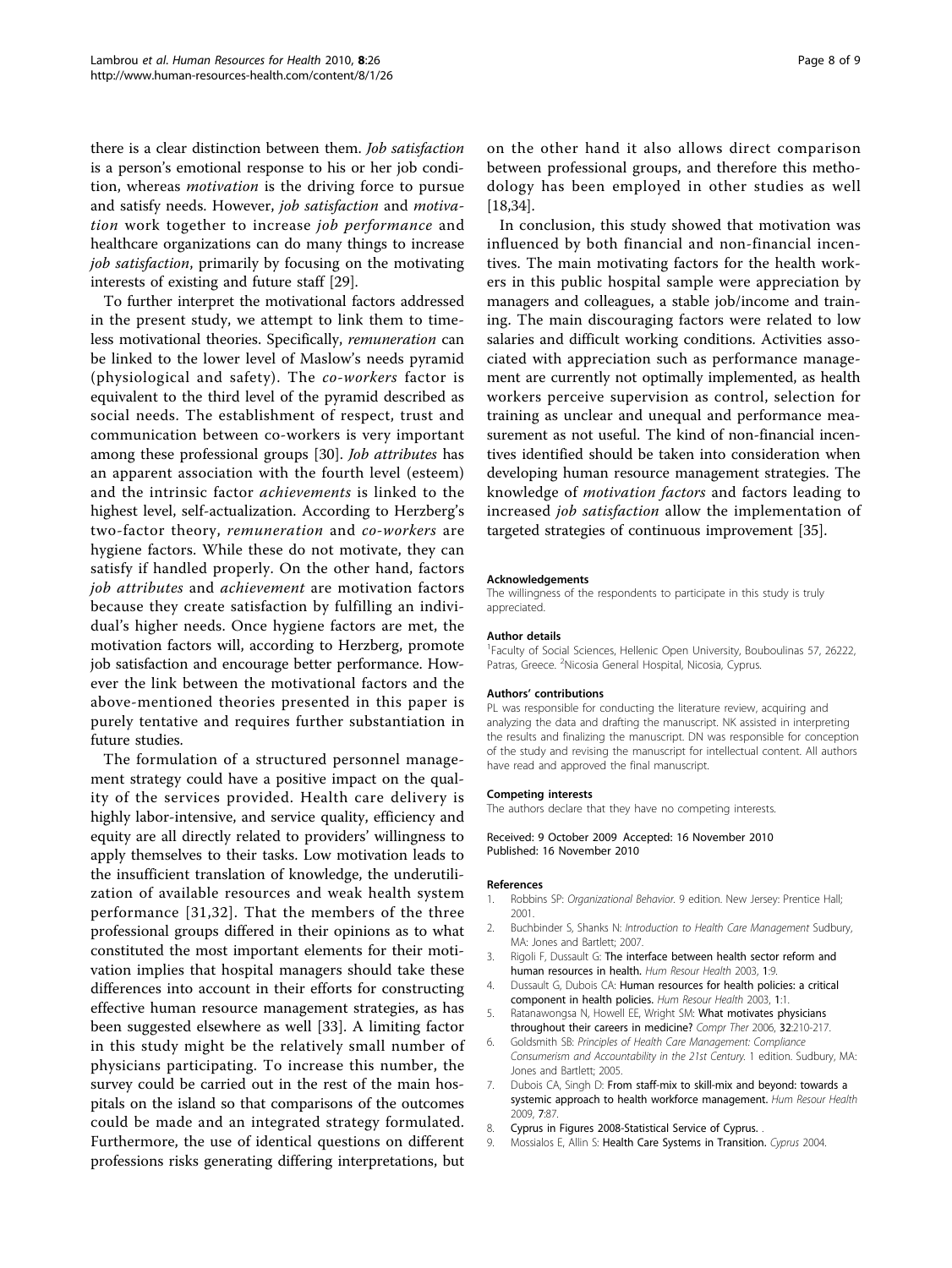<span id="page-7-0"></span>there is a clear distinction between them. Job satisfaction is a person's emotional response to his or her job condition, whereas motivation is the driving force to pursue and satisfy needs. However, job satisfaction and motivation work together to increase job performance and healthcare organizations can do many things to increase job satisfaction, primarily by focusing on the motivating interests of existing and future staff [\[29\]](#page-8-0).

To further interpret the motivational factors addressed in the present study, we attempt to link them to timeless motivational theories. Specifically, remuneration can be linked to the lower level of Maslow's needs pyramid (physiological and safety). The co-workers factor is equivalent to the third level of the pyramid described as social needs. The establishment of respect, trust and communication between co-workers is very important among these professional groups [[30](#page-8-0)]. Job attributes has an apparent association with the fourth level (esteem) and the intrinsic factor achievements is linked to the highest level, self-actualization. According to Herzberg's two-factor theory, remuneration and co-workers are hygiene factors. While these do not motivate, they can satisfy if handled properly. On the other hand, factors job attributes and achievement are motivation factors because they create satisfaction by fulfilling an individual's higher needs. Once hygiene factors are met, the motivation factors will, according to Herzberg, promote job satisfaction and encourage better performance. However the link between the motivational factors and the above-mentioned theories presented in this paper is purely tentative and requires further substantiation in future studies.

The formulation of a structured personnel management strategy could have a positive impact on the quality of the services provided. Health care delivery is highly labor-intensive, and service quality, efficiency and equity are all directly related to providers' willingness to apply themselves to their tasks. Low motivation leads to the insufficient translation of knowledge, the underutilization of available resources and weak health system performance [\[31,32\]](#page-8-0). That the members of the three professional groups differed in their opinions as to what constituted the most important elements for their motivation implies that hospital managers should take these differences into account in their efforts for constructing effective human resource management strategies, as has been suggested elsewhere as well [[33\]](#page-8-0). A limiting factor in this study might be the relatively small number of physicians participating. To increase this number, the survey could be carried out in the rest of the main hospitals on the island so that comparisons of the outcomes could be made and an integrated strategy formulated. Furthermore, the use of identical questions on different professions risks generating differing interpretations, but

on the other hand it also allows direct comparison between professional groups, and therefore this methodology has been employed in other studies as well [[18,34\]](#page-8-0).

In conclusion, this study showed that motivation was influenced by both financial and non-financial incentives. The main motivating factors for the health workers in this public hospital sample were appreciation by managers and colleagues, a stable job/income and training. The main discouraging factors were related to low salaries and difficult working conditions. Activities associated with appreciation such as performance management are currently not optimally implemented, as health workers perceive supervision as control, selection for training as unclear and unequal and performance measurement as not useful. The kind of non-financial incentives identified should be taken into consideration when developing human resource management strategies. The knowledge of motivation factors and factors leading to increased job satisfaction allow the implementation of targeted strategies of continuous improvement [[35](#page-8-0)].

#### Acknowledgements

The willingness of the respondents to participate in this study is truly appreciated.

#### Author details

<sup>1</sup>Faculty of Social Sciences, Hellenic Open University, Bouboulinas 57, 26222 Patras, Greece. <sup>2</sup>Nicosia General Hospital, Nicosia, Cyprus.

#### Authors' contributions

PL was responsible for conducting the literature review, acquiring and analyzing the data and drafting the manuscript. NK assisted in interpreting the results and finalizing the manuscript. DN was responsible for conception of the study and revising the manuscript for intellectual content. All authors have read and approved the final manuscript.

#### Competing interests

The authors declare that they have no competing interests.

#### Received: 9 October 2009 Accepted: 16 November 2010 Published: 16 November 2010

#### References

- 1. Robbins SP: Organizational Behavior. 9 edition. New Jersey: Prentice Hall; 2001.
- 2. Buchbinder S, Shanks N: Introduction to Health Care Management Sudbury, MA: Jones and Bartlett; 2007.
- 3. Rigoli F, Dussault G: [The interface between health sector reform and](http://www.ncbi.nlm.nih.gov/pubmed/14613523?dopt=Abstract) [human resources in health.](http://www.ncbi.nlm.nih.gov/pubmed/14613523?dopt=Abstract) Hum Resour Health 2003, 1:9.
- 4. Dussault G, Dubois CA: [Human resources for health policies: a critical](http://www.ncbi.nlm.nih.gov/pubmed/12904254?dopt=Abstract) [component in health policies.](http://www.ncbi.nlm.nih.gov/pubmed/12904254?dopt=Abstract) Hum Resour Health 2003, 1:1.
- 5. Ratanawongsa N, Howell EE, Wright SM: [What motivates physicians](http://www.ncbi.nlm.nih.gov/pubmed/17918306?dopt=Abstract) [throughout their careers in medicine?](http://www.ncbi.nlm.nih.gov/pubmed/17918306?dopt=Abstract) Compr Ther 2006, 32:210-217.
- 6. Goldsmith SB: Principles of Health Care Management: Compliance Consumerism and Accountability in the 21st Century. 1 edition. Sudbury, MA: Jones and Bartlett; 2005.
- Dubois CA, Singh D: [From staff-mix to skill-mix and beyond: towards a](http://www.ncbi.nlm.nih.gov/pubmed/20021682?dopt=Abstract) [systemic approach to health workforce management.](http://www.ncbi.nlm.nih.gov/pubmed/20021682?dopt=Abstract) Hum Resour Health 2009, 7:87.
- 8. Cyprus in Figures 2008-Statistical Service of Cyprus. .
- 9. Mossialos E, Allin S: Health Care Systems in Transition. Cyprus 2004.